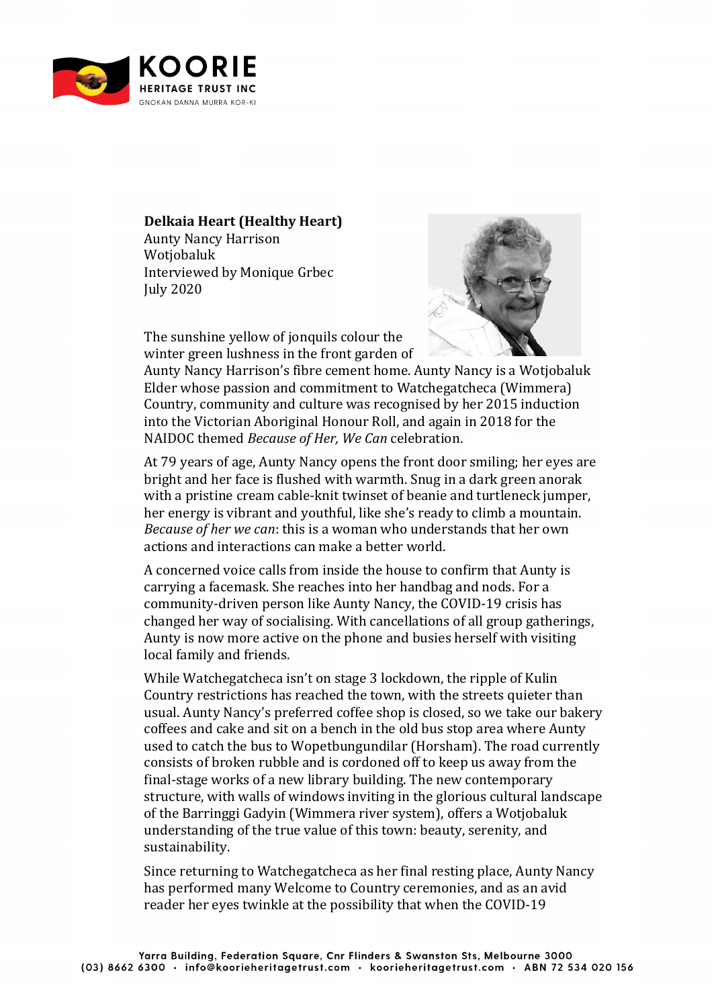

## **Delkaia Heart (Healthy Heart)**

Aunty Nancy Harrison Wotjobaluk Interviewed by Monique Grbec July 2020



The sunshine yellow of jonquils colour the winter green lushness in the front garden of

Aunty Nancy Harrison's fibre cement home. Aunty Nancy is a Wotjobaluk Elder whose passion and commitment to Watchegatcheca (Wimmera) Country, community and culture was recognised by her 2015 induction into the Victorian Aboriginal Honour Roll, and again in 2018 for the NAIDOC themed *Because of Her, We Can* celebration.

At 79 years of age, Aunty Nancy opens the front door smiling; her eyes are bright and her face is flushed with warmth. Snug in a dark green anorak with a pristine cream cable-knit twinset of beanie and turtleneck jumper, her energy is vibrant and youthful, like she's ready to climb a mountain. *Because of her we can*: this is a woman who understands that her own actions and interactions can make a better world.

A concerned voice calls from inside the house to confirm that Aunty is carrying a facemask. She reaches into her handbag and nods. For a community-driven person like Aunty Nancy, the COVID-19 crisis has changed her way of socialising. With cancellations of all group gatherings, Aunty is now more active on the phone and busies herself with visiting local family and friends.

While Watchegatcheca isn't on stage 3 lockdown, the ripple of Kulin Country restrictions has reached the town, with the streets quieter than usual. Aunty Nancy's preferred coffee shop is closed, so we take our bakery coffees and cake and sit on a bench in the old bus stop area where Aunty used to catch the bus to Wopetbungundilar (Horsham). The road currently consists of broken rubble and is cordoned off to keep us away from the final-stage works of a new library building. The new contemporary structure, with walls of windows inviting in the glorious cultural landscape of the Barringgi Gadyin (Wimmera river system), offers a Wotjobaluk understanding of the true value of this town: beauty, serenity, and sustainability.

Since returning to Watchegatcheca as her final resting place, Aunty Nancy has performed many Welcome to Country ceremonies, and as an avid reader her eyes twinkle at the possibility that when the COVID-19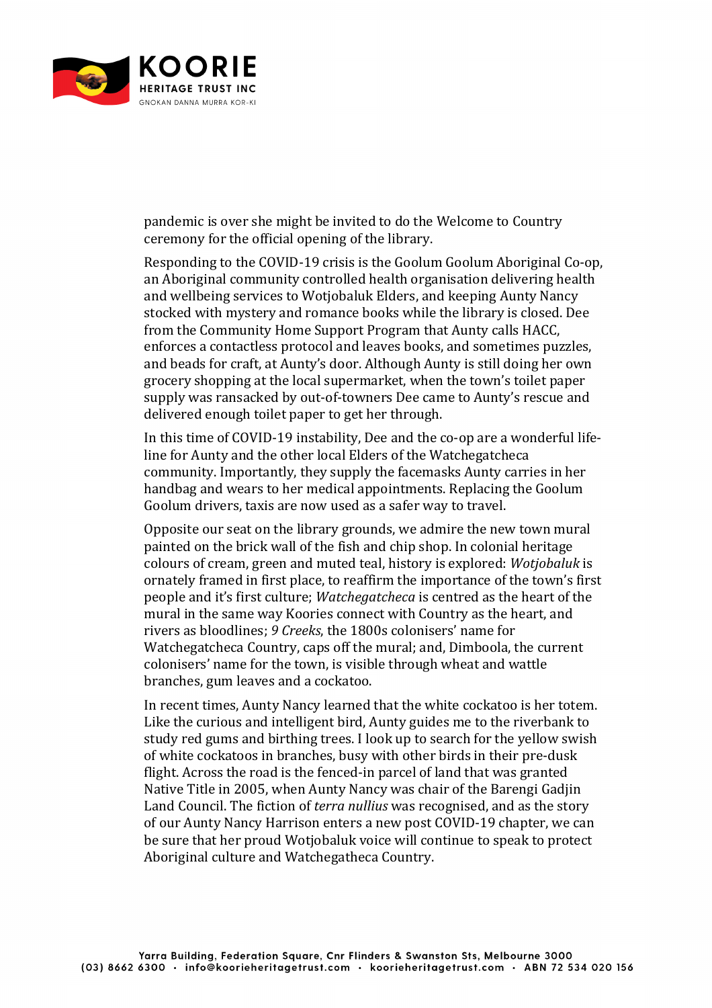

pandemic is over she might be invited to do the Welcome to Country ceremony for the official opening of the library.

Responding to the COVID-19 crisis is the Goolum Goolum Aboriginal Co-op, an Aboriginal community controlled health organisation delivering health and wellbeing services to Wotjobaluk Elders, and keeping Aunty Nancy stocked with mystery and romance books while the library is closed. Dee from the Community Home Support Program that Aunty calls HACC, enforces a contactless protocol and leaves books, and sometimes puzzles, and beads for craft, at Aunty's door. Although Aunty is still doing her own grocery shopping at the local supermarket, when the town's toilet paper supply was ransacked by out-of-towners Dee came to Aunty's rescue and delivered enough toilet paper to get her through.

In this time of COVID-19 instability, Dee and the co-op are a wonderful lifeline for Aunty and the other local Elders of the Watchegatcheca community. Importantly, they supply the facemasks Aunty carries in her handbag and wears to her medical appointments. Replacing the Goolum Goolum drivers, taxis are now used as a safer way to travel.

Opposite our seat on the library grounds, we admire the new town mural painted on the brick wall of the fish and chip shop. In colonial heritage colours of cream, green and muted teal, history is explored: *Wotjobaluk* is ornately framed in first place, to reaffirm the importance of the town's first people and it's first culture: *Watchegatcheca* is centred as the heart of the mural in the same way Koories connect with Country as the heart, and rivers as bloodlines; 9 Creeks, the 1800s colonisers' name for Watchegatcheca Country, caps off the mural; and, Dimboola, the current colonisers' name for the town, is visible through wheat and wattle branches, gum leaves and a cockatoo.

In recent times, Aunty Nancy learned that the white cockatoo is her totem. Like the curious and intelligent bird, Aunty guides me to the riverbank to study red gums and birthing trees. I look up to search for the yellow swish of white cockatoos in branches, busy with other birds in their pre-dusk flight. Across the road is the fenced-in parcel of land that was granted Native Title in 2005, when Aunty Nancy was chair of the Barengi Gadjin Land Council. The fiction of *terra nullius* was recognised, and as the story of our Aunty Nancy Harrison enters a new post COVID-19 chapter, we can be sure that her proud Wotjobaluk voice will continue to speak to protect Aboriginal culture and Watchegatheca Country.